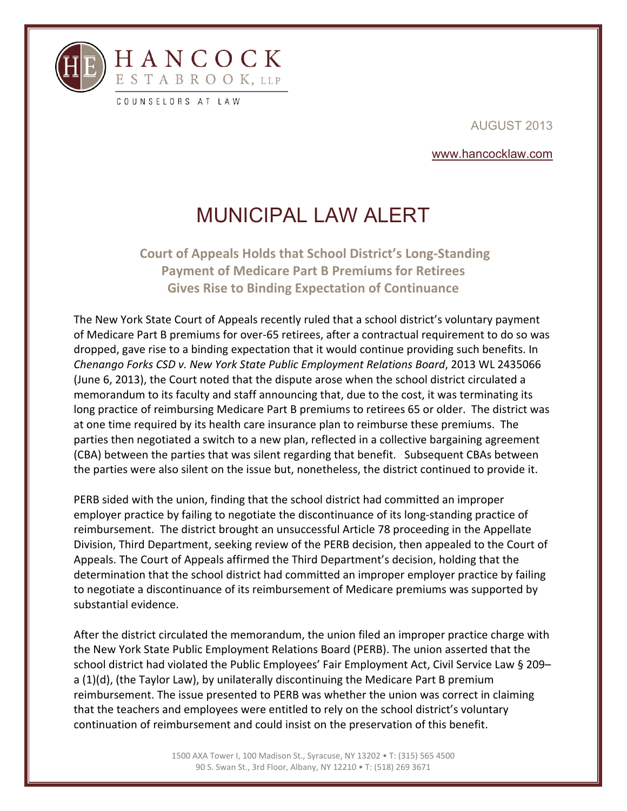

l

AUGUST 2013

www.hancocklaw.com

## MUNICIPAL LAW ALERT

**Court of Appeals Holds that School District's Long‐Standing Payment of Medicare Part B Premiums for Retirees Gives Rise to Binding Expectation of Continuance**

The New York State Court of Appeals recently ruled that a school district's voluntary payment of Medicare Part B premiums for over‐65 retirees, after a contractual requirement to do so was dropped, gave rise to a binding expectation that it would continue providing such benefits. In *Chenango Forks CSD v. New York State Public Employment Relations Board*, 2013 WL 2435066 (June 6, 2013), the Court noted that the dispute arose when the school district circulated a memorandum to its faculty and staff announcing that, due to the cost, it was terminating its long practice of reimbursing Medicare Part B premiums to retirees 65 or older. The district was at one time required by its health care insurance plan to reimburse these premiums. The parties then negotiated a switch to a new plan, reflected in a collective bargaining agreement (CBA) between the parties that was silent regarding that benefit. Subsequent CBAs between the parties were also silent on the issue but, nonetheless, the district continued to provide it.

PERB sided with the union, finding that the school district had committed an improper employer practice by failing to negotiate the discontinuance of its long-standing practice of reimbursement. The district brought an unsuccessful Article 78 proceeding in the Appellate Division, Third Department, seeking review of the PERB decision, then appealed to the Court of Appeals. The Court of Appeals affirmed the Third Department's decision, holding that the determination that the school district had committed an improper employer practice by failing to negotiate a discontinuance of its reimbursement of Medicare premiums was supported by substantial evidence.

After the district circulated the memorandum, the union filed an improper practice charge with the New York State Public Employment Relations Board (PERB). The union asserted that the school district had violated the Public Employees' Fair Employment Act, Civil Service Law § 209a (1)(d), (the Taylor Law), by unilaterally discontinuing the Medicare Part B premium reimbursement. The issue presented to PERB was whether the union was correct in claiming that the teachers and employees were entitled to rely on the school district's voluntary continuation of reimbursement and could insist on the preservation of this benefit.

> 1500 AXA Tower I, 100 Madison St., Syracuse, NY 13202 • T: (315) 565 4500 90 S. Swan St., 3rd Floor, Albany, NY 12210 • T: (518) 269 3671